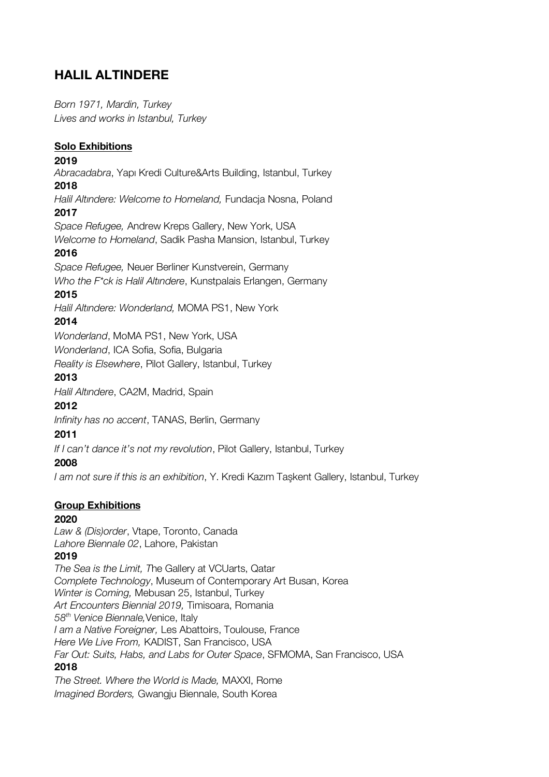# **HALIL ALTINDERE**

*Born 1971, Mardin, Turkey Lives and works in Istanbul, Turkey*

#### **Solo Exhibitions**

#### **2019**

*Abracadabra*, Yapı Kredi Culture&Arts Building, Istanbul, Turkey **2018**

*Halil Altındere: Welcome to Homeland,* Fundacja Nosna, Poland **2017**

*Space Refugee,* Andrew Kreps Gallery, New York, USA

*Welcome to Homeland*, Sadik Pasha Mansion, Istanbul, Turkey **2016**

*Space Refugee,* Neuer Berliner Kunstverein, Germany *Who the F\*ck is Halil Altındere*, Kunstpalais Erlangen, Germany

#### **2015**

*Halil Altındere: Wonderland,* MOMA PS1, New York

#### **2014**

*Wonderland*, MoMA PS1, New York, USA

*Wonderland*, ICA Sofia, Sofia, Bulgaria

*Reality is Elsewhere*, Pilot Gallery, Istanbul, Turkey

#### **2013**

*Halil Altındere*, CA2M, Madrid, Spain

## **2012**

*Infinity has no accent*, TANAS, Berlin, Germany

#### **2011**

*If I can't dance it's not my revolution*, Pilot Gallery, Istanbul, Turkey

## **2008**

*I am not sure if this is an exhibition*, Y. Kredi Kazım Taşkent Gallery, Istanbul, Turkey

## **Group Exhibitions**

## **2020**

*Law & (Dis)order*, Vtape, Toronto, Canada *Lahore Biennale 02*, Lahore, Pakistan

#### **2019**

*The Sea is the Limit, T*he Gallery at VCUarts, Qatar *Complete Technology*, Museum of Contemporary Art Busan, Korea *Winter is Coming,* Mebusan 25, Istanbul, Turkey *Art Encounters Biennial 2019,* Timisoara, Romania *58th Venice Biennale,*Venice, Italy *I am a Native Foreigner,* Les Abattoirs, Toulouse, France *Here We Live From,* KADIST, San Francisco, USA *Far Out: Suits, Habs, and Labs for Outer Space*, SFMOMA, San Francisco, USA **2018**

*The Street. Where the World is Made,* MAXXI, Rome *Imagined Borders,* Gwangju Biennale, South Korea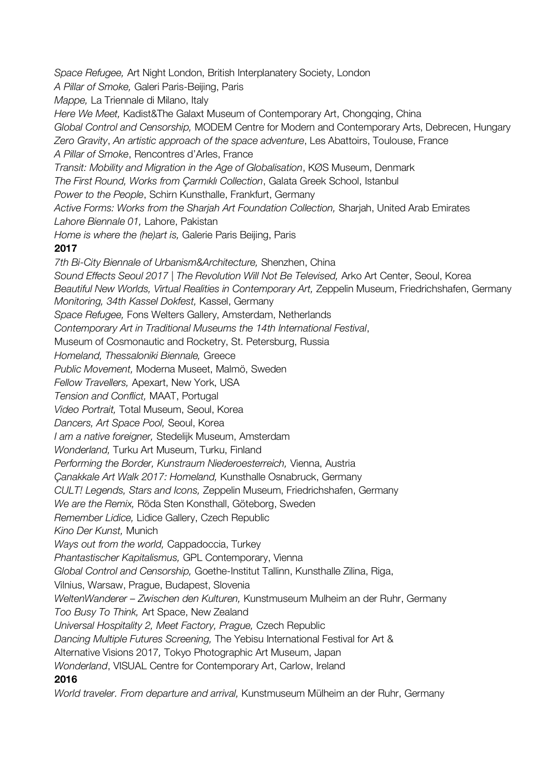*Space Refugee,* Art Night London, British Interplanatery Society, London *A Pillar of Smoke,* Galeri Paris-Beijing, Paris *Mappe,* La Triennale di Milano, Italy *Here We Meet,* Kadist&The Galaxt Museum of Contemporary Art, Chongqing, China *Global Control and Censorship,* MODEM Centre for Modern and Contemporary Arts, Debrecen, Hungary *Zero Gravity*, *An artistic approach of the space adventure*, Les Abattoirs, Toulouse, France *A Pillar of Smoke*, Rencontres d'Arles, France *Transit: Mobility and Migration in the Age of Globalisation*, KØS Museum, Denmark *The First Round, Works from Çarmıklı Collection*, Galata Greek School, Istanbul *Power to the People*, Schirn Kunsthalle, Frankfurt, Germany *Active Forms: Works from the Sharjah Art Foundation Collection,* Sharjah, United Arab Emirates *Lahore Biennale 01,* Lahore, Pakistan *Home is where the (he)art is,* Galerie Paris Beijing, Paris **2017** *7th Bi-City Biennale of Urbanism&Architecture,* Shenzhen, China *Sound Effects Seoul 2017 | The Revolution Will Not Be Televised,* Arko Art Center, Seoul, Korea *Beautiful New Worlds, Virtual Realities in Contemporary Art,* Zeppelin Museum, Friedrichshafen, Germany *Monitoring, 34th Kassel Dokfest,* Kassel, Germany *Space Refugee,* Fons Welters Gallery, Amsterdam, Netherlands *Contemporary Art in Traditional Museums the 14th International Festival*, Museum of Cosmonautic and Rocketry, St. Petersburg, Russia *Homeland, Thessaloniki Biennale,* Greece *Public Movement,* Moderna Museet, Malmö, Sweden *Fellow Travellers,* Apexart, New York, USA *Tension and Conflict,* MAAT, Portugal *Video Portrait,* Total Museum, Seoul, Korea *Dancers, Art Space Pool,* Seoul, Korea *I am a native foreigner,* Stedelijk Museum, Amsterdam *Wonderland,* Turku Art Museum, Turku, Finland *Performing the Border, Kunstraum Niederoesterreich,* Vienna, Austria *Çanakkale Art Walk 2017: Homeland,* Kunsthalle Osnabruck, Germany *CULT! Legends, Stars and Icons,* Zeppelin Museum, Friedrichshafen, Germany *We are the Remix,* Röda Sten Konsthall, Göteborg, Sweden *Remember Lidice,* Lidice Gallery, Czech Republic *Kino Der Kunst,* Munich *Ways out from the world,* Cappadoccia, Turkey *Phantastischer Kapitalismus,* GPL Contemporary, Vienna *Global Control and Censorship,* Goethe-Institut Tallinn, Kunsthalle Zilina, Riga, Vilnius, Warsaw, Prague, Budapest, Slovenia *WeltenWanderer – Zwischen den Kulturen,* Kunstmuseum Mulheim an der Ruhr, Germany *Too Busy To Think,* Art Space, New Zealand *Universal Hospitality 2, Meet Factory, Prague,* Czech Republic *Dancing Multiple Futures Screening,* The Yebisu International Festival for Art & Alternative Visions 2017*,* Tokyo Photographic Art Museum, Japan *Wonderland*, VISUAL Centre for Contemporary Art, Carlow, Ireland **2016** *World traveler. From departure and arrival,* Kunstmuseum Mülheim an der Ruhr, Germany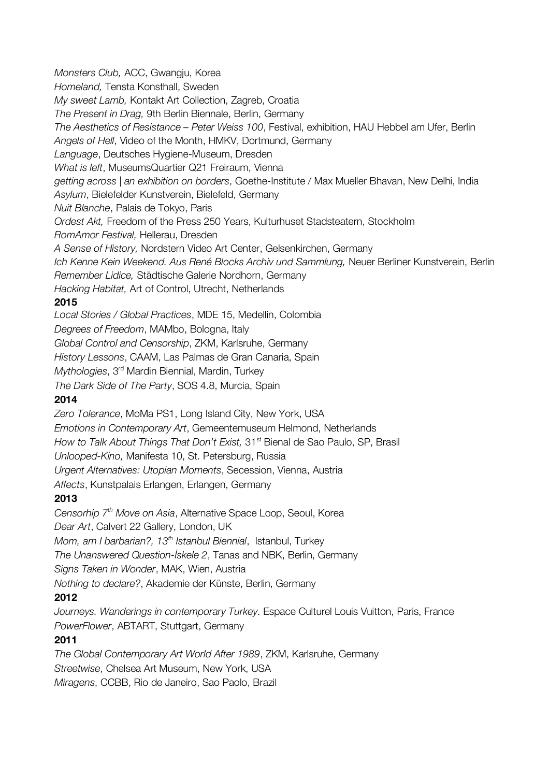*Monsters Club,* ACC, Gwangju, Korea *Homeland,* Tensta Konsthall, Sweden *My sweet Lamb,* Kontakt Art Collection, Zagreb, Croatia *The Present in Drag,* 9th Berlin Biennale, Berlin, Germany *The Aesthetics of Resistance – Peter Weiss 100*, Festival, exhibition, HAU Hebbel am Ufer, Berlin *Angels of Hell*, Video of the Month, HMKV, Dortmund, Germany *Language*, Deutsches Hygiene-Museum, Dresden *What is left*, MuseumsQuartier Q21 Freiraum, Vienna *getting across | an exhibition on borders*, Goethe-Institute / Max Mueller Bhavan, New Delhi, India *Asylum*, Bielefelder Kunstverein, Bielefeld, Germany *Nuit Blanche*, Palais de Tokyo, Paris *Ordest Akt,* Freedom of the Press 250 Years, Kulturhuset Stadsteatern, Stockholm *RomAmor Festival,* Hellerau, Dresden *A Sense of History,* Nordstern Video Art Center, Gelsenkirchen, Germany *Ich Kenne Kein Weekend. Aus René Blocks Archiv und Sammlung,* Neuer Berliner Kunstverein, Berlin *Remember Lidice,* Städtische Galerie Nordhorn, Germany *Hacking Habitat,* Art of Control, Utrecht, Netherlands **2015** *Local Stories / Global Practices*, MDE 15, Medellin, Colombia *Degrees of Freedom*, MAMbo, Bologna, Italy *Global Control and Censorship*, ZKM, Karlsruhe, Germany *History Lessons*, CAAM, Las Palmas de Gran Canaria, Spain *Mythologies*, 3rd Mardin Biennial, Mardin, Turkey *The Dark Side of The Party*, SOS 4.8, Murcia, Spain **2014** *Zero Tolerance*, MoMa PS1, Long Island City, New York, USA *Emotions in Contemporary Art*, Gemeentemuseum Helmond, Netherlands *How to Talk About Things That Don't Exist, 31<sup>st</sup> Bienal de Sao Paulo, SP, Brasil Unlooped-Kino,* Manifesta 10, St. Petersburg, Russia *Urgent Alternatives: Utopian Moments*, Secession, Vienna, Austria *Affects*, Kunstpalais Erlangen, Erlangen, Germany **2013** *Censorhip 7th Move on Asia*, Alternative Space Loop, Seoul, Korea

*Dear Art*, Calvert 22 Gallery, London, UK *Mom, am I barbarian?, 13<sup>th</sup> Istanbul Biennial, Istanbul, Turkey The Unanswered Question-İskele 2*, Tanas and NBK, Berlin, Germany *Signs Taken in Wonder*, MAK, Wien, Austria *Nothing to declare?*, Akademie der Künste, Berlin, Germany

## **2012**

*Journeys. Wanderings in contemporary Turkey*. Espace Culturel Louis Vuitton, Paris, France *PowerFlower*, ABTART, Stuttgart, Germany

## **2011**

*The Global Contemporary Art World After 1989*, ZKM, Karlsruhe, Germany *Streetwise*, Chelsea Art Museum, New York, USA *Miragens*, CCBB, Rio de Janeiro, Sao Paolo, Brazil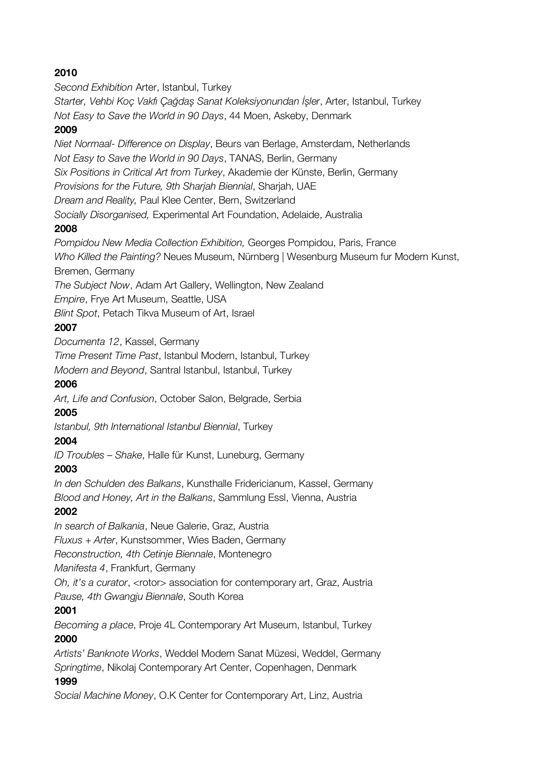## **2010**

*Second Exhibition* Arter, Istanbul, Turkey

*Starter, Vehbi Koç Vakfı Çağdaş Sanat Koleksiyonundan İşler*, Arter, Istanbul, Turkey *Not Easy to Save the World in 90 Days*, 44 Moen, Askeby, Denmark

#### **2009**

*Niet Normaal- Difference on Display*, Beurs van Berlage, Amsterdam, Netherlands *Not Easy to Save the World in 90 Days*, TANAS, Berlin, Germany

*Six Positions in Critical Art from Turkey*, Akademie der Künste, Berlin, Germany

*Provisions for the Future, 9th Sharjah Biennial*, Sharjah, UAE

*Dream and Reality,* Paul Klee Center, Bern, Switzerland

*Socially Disorganised,* Experimental Art Foundation, Adelaide, Australia

## **2008**

*Pompidou New Media Collection Exhibition,* Georges Pompidou, Paris, France *Who Killed the Painting?* Neues Museum, Nürnberg | Wesenburg Museum fur Modern Kunst, Bremen, Germany

*The Subject Now*, Adam Art Gallery, Wellington, New Zealand

*Empire*, Frye Art Museum, Seattle, USA

*Blint Spot*, Petach Tikva Museum of Art, Israel

## **2007**

*Documenta 12*, Kassel, Germany

*Time Present Time Past*, Istanbul Modern, Istanbul, Turkey

*Modern and Beyond*, Santral Istanbul, Istanbul, Turkey

#### **2006**

*Art, Life and Confusion*, October Salon, Belgrade, Serbia

## **2005**

*Istanbul, 9th International Istanbul Biennial*, Turkey

## **2004**

*ID Troubles – Shake*, Halle für Kunst, Luneburg, Germany

## **2003**

*In den Schulden des Balkans*, Kunsthalle Fridericianum, Kassel, Germany *Blood and Honey, Art in the Balkans*, Sammlung Essl, Vienna, Austria

## **2002**

*In search of Balkania*, Neue Galerie, Graz, Austria

*Fluxus + Arter*, Kunstsommer, Wies Baden, Germany

*Reconstruction, 4th Cetinje Biennale*, Montenegro

*Manifesta 4*, Frankfurt, Germany

*Oh, it's a curator*, <rotor> association for contemporary art, Graz, Austria *Pause, 4th Gwangju Biennale*, South Korea

## **2001**

*Becoming a place*, Proje 4L Contemporary Art Museum, Istanbul, Turkey **2000**

*Artists' Banknote Works*, Weddel Modern Sanat Müzesi, Weddel, Germany *Springtime*, Nikolaj Contemporary Art Center, Copenhagen, Denmark

#### **1999**

*Social Machine Money*, O.K Center for Contemporary Art, Linz, Austria